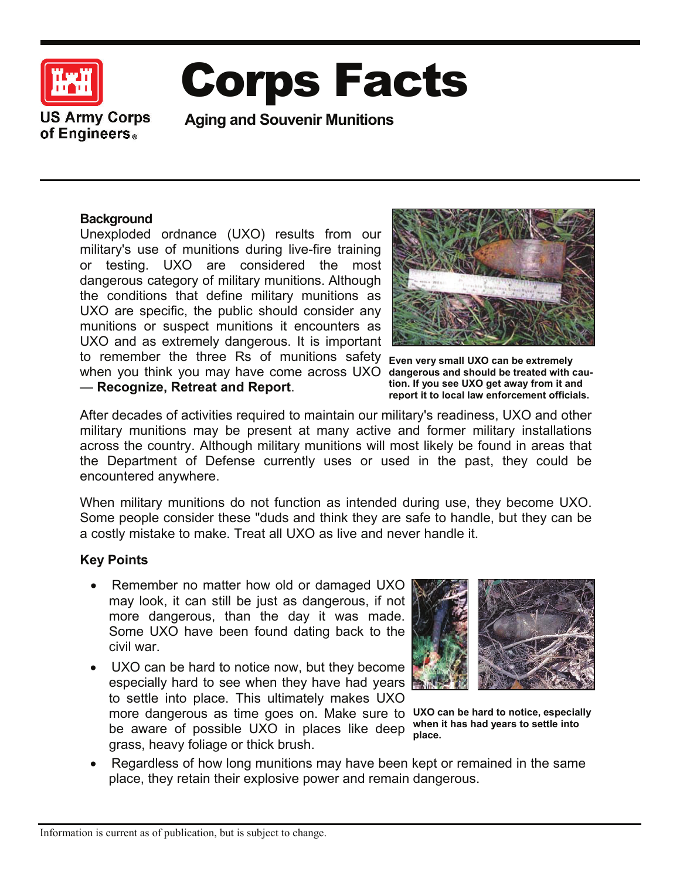

# Corps Facts

**US Army Corps** of Engineers.

**Aging and Souvenir Munitions** 

# **Background**

Unexploded ordnance (UXO) results from our military's use of munitions during live-fire training or testing. UXO are considered the most dangerous category of military munitions. Although the conditions that define military munitions as UXO are specific, the public should consider any munitions or suspect munitions it encounters as UXO and as extremely dangerous. It is important to remember the three Rs of munitions safety when you think you may have come across UXO dangerous and should be treated with cau- $-$  Recognize, Retreat and Report.



**Even very small UXO can be extremely tion. If you see UXO get away from it and report it to local law enforcement officials.**

After decades of activities required to maintain our military's readiness, UXO and other military munitions may be present at many active and former military installations across the country. Although military munitions will most likely be found in areas that the Department of Defense currently uses or used in the past, they could be encountered anywhere.

When military munitions do not function as intended during use, they become UXO. Some people consider these "duds and think they are safe to handle, but they can be a costly mistake to make. Treat all UXO as live and never handle it.

# **Key Points**

- Remember no matter how old or damaged UXO may look, it can still be just as dangerous, if not more dangerous, than the day it was made. Some UXO have been found dating back to the civil war.
- UXO can be hard to notice now, but they become especially hard to see when they have had years to settle into place. This ultimately makes UXO more dangerous as time goes on. Make sure to UXO can be hard to notice, especially be aware of possible UXO in places like deep grass, heavy foliage or thick brush.



**when it has had years to settle into place.**

Regardless of how long munitions may have been kept or remained in the same place, they retain their explosive power and remain dangerous.